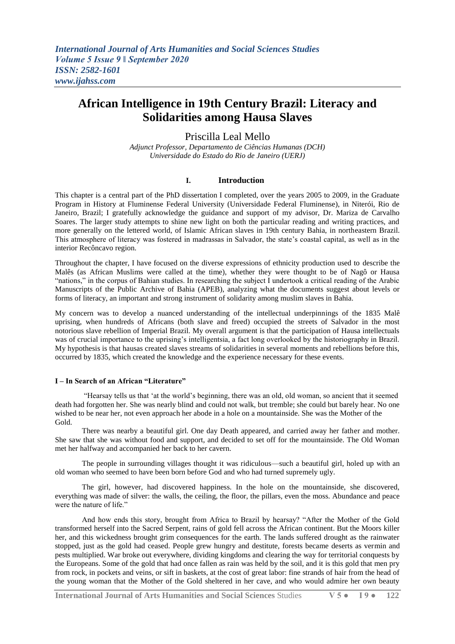# Priscilla Leal Mello

*Adjunct Professor, Departamento de Ciências Humanas (DCH) Universidade do Estado do Rio de Janeiro (UERJ)*

#### **I. Introduction**

This chapter is a central part of the PhD dissertation I completed, over the years 2005 to 2009, in the Graduate Program in History at Fluminense Federal University (Universidade Federal Fluminense), in Niterói, Rio de Janeiro, Brazil; I gratefully acknowledge the guidance and support of my advisor, Dr. Mariza de Carvalho Soares. The larger study attempts to shine new light on both the particular reading and writing practices, and more generally on the lettered world, of Islamic African slaves in 19th century Bahia, in northeastern Brazil. This atmosphere of literacy was fostered in madrassas in Salvador, the state's coastal capital, as well as in the interior Recôncavo region.

Throughout the chapter, I have focused on the diverse expressions of ethnicity production used to describe the Malês (as African Muslims were called at the time), whether they were thought to be of Nagô or Hausa ―nations,‖ in the corpus of Bahian studies. In researching the subject I undertook a critical reading of the Arabic Manuscripts of the Public Archive of Bahia (APEB), analyzing what the documents suggest about levels or forms of literacy, an important and strong instrument of solidarity among muslim slaves in Bahia.

My concern was to develop a nuanced understanding of the intellectual underpinnings of the 1835 Malê uprising, when hundreds of Africans (both slave and freed) occupied the streets of Salvador in the most notorious slave rebellion of Imperial Brazil. My overall argument is that the participation of Hausa intellectuals was of crucial importance to the uprising's intelligentsia, a fact long overlooked by the historiography in Brazil. My hypothesis is that hausas created slaves streams of solidarities in several moments and rebellions before this, occurred by 1835, which created the knowledge and the experience necessary for these events.

#### **I – In Search of an African "Literature"**

―Hearsay tells us that ‗at the world's beginning, there was an old, old woman, so ancient that it seemed death had forgotten her. She was nearly blind and could not walk, but tremble; she could but barely hear. No one wished to be near her, not even approach her abode in a hole on a mountainside. She was the Mother of the Gold.

There was nearby a beautiful girl. One day Death appeared, and carried away her father and mother. She saw that she was without food and support, and decided to set off for the mountainside. The Old Woman met her halfway and accompanied her back to her cavern.

The people in surrounding villages thought it was ridiculous—such a beautiful girl, holed up with an old woman who seemed to have been born before God and who had turned supremely ugly.

The girl, however, had discovered happiness. In the hole on the mountainside, she discovered, everything was made of silver: the walls, the ceiling, the floor, the pillars, even the moss. Abundance and peace were the nature of life."

And how ends this story, brought from Africa to Brazil by hearsay? "After the Mother of the Gold transformed herself into the Sacred Serpent, rains of gold fell across the African continent. But the Moors killer her, and this wickedness brought grim consequences for the earth. The lands suffered drought as the rainwater stopped, just as the gold had ceased. People grew hungry and destitute, forests became deserts as vermin and pests multiplied. War broke out everywhere, dividing kingdoms and clearing the way for territorial conquests by the Europeans. Some of the gold that had once fallen as rain was held by the soil, and it is this gold that men pry from rock, in pockets and veins, or sift in baskets, at the cost of great labor: fine strands of hair from the head of the young woman that the Mother of the Gold sheltered in her cave, and who would admire her own beauty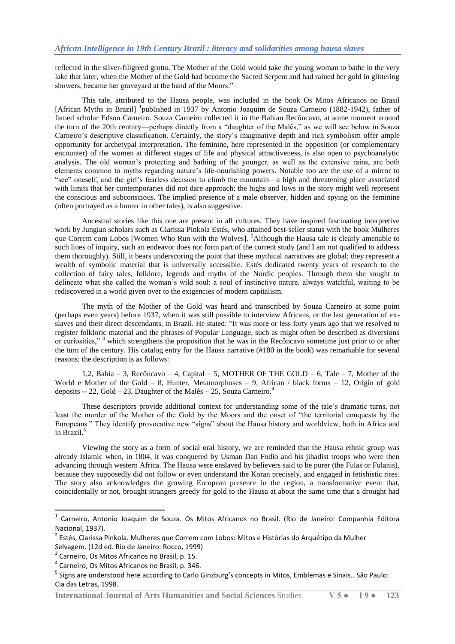reflected in the silver-filigreed grotto. The Mother of the Gold would take the young woman to bathe in the very lake that later, when the Mother of the Gold had become the Sacred Serpent and had rained her gold in glittering showers, became her graveyard at the hand of the Moors."

This tale, attributed to the Hausa people, was included in the book Os Mitos Africanos no Brasil [African Myths in Brazil] <sup>1</sup>published in 1937 by Antonio Joaquim de Souza Carneiro (1882-1942), father of famed scholar Edson Carneiro. Souza Carneiro collected it in the Bahian Recôncavo, at some moment around the turn of the 20th century—perhaps directly from a "daughter of the Malês," as we will see below in Souza Carneiro's descriptive classification. Certainly, the story's imaginative depth and rich symbolism offer ample opportunity for archetypal interpretation. The feminine, here represented in the opposition (or complementary encounter) of the women at different stages of life and physical attractiveness, is also open to psychoanalytic analysis. The old woman's protecting and bathing of the younger, as well as the extensive rains, are both elements common to myths regarding nature's life-nourishing powers. Notable too are the use of a mirror to "see" oneself, and the girl's fearless decision to climb the mountain—a high and threatening place associated with limits that her contemporaries did not dare approach; the highs and lows in the story might well represent the conscious and subconscious. The implied presence of a male observer, hidden and spying on the feminine (often portrayed as a hunter in other tales), is also suggestive.

Ancestral stories like this one are present in all cultures. They have inspired fascinating interpretive work by Jungian scholars such as Clarissa Pinkola Estés, who attained best-seller status with the book Mulheres que Correm com Lobos [Women Who Run with the Wolves]. <sup>2</sup>Although the Hausa tale is clearly amenable to such lines of inquiry, such an endeavor does not form part of the current study (and I am not qualified to address them thoroughly). Still, it bears underscoring the point that these mythical narratives are global; they represent a wealth of symbolic material that is universally accessible. Estés dedicated twenty years of research to the collection of fairy tales, folklore, legends and myths of the Nordic peoples. Through them she sought to delineate what she called the woman's wild soul: a soul of instinctive nature, always watchful, waiting to be rediscovered in a world given over to the exigencies of modern capitalism.

The myth of the Mother of the Gold was heard and transcribed by Souza Carneiro at some point (perhaps even years) before 1937, when it was still possible to interview Africans, or the last generation of exslaves and their direct descendants, in Brazil. He stated: "It was more or less forty years ago that we resolved to register folkloric material and the phrases of Popular Language, such as might often be described as diversions or curiosities." <sup>3</sup> which strengthens the proposition that he was in the Recôncavo sometime just prior to or after the turn of the century. His catalog entry for the Hausa narrative (#180 in the book) was remarkable for several reasons; the description is as follows:

1,2, Bahia – 3, Recôncavo – 4, Capital – 5, MOTHER OF THE GOLD – 6, Tale – 7, Mother of the World e Mother of the Gold – 8, Hunter, Metamorphoses – 9, African / black forms – 12, Origin of gold deposits  $-22$ , Gold  $-23$ , Daughter of the Malês  $-25$ , Souza Carneiro.<sup>4</sup>

These descriptors provide additional context for understanding some of the tale's dramatic turns, not least the murder of the Mother of the Gold by the Moors and the onset of "the territorial conquests by the Europeans." They identify provocative new "signs" about the Hausa history and worldview, both in Africa and in Brazil.<sup>5</sup>

Viewing the story as a form of social oral history, we are reminded that the Hausa ethnic group was already Islamic when, in 1804, it was conquered by Usman Dan Fodio and his jihadist troops who were then advancing through western Africa. The Hausa were enslaved by believers said to be purer (the Fulas or Fulanis), because they supposedly did not follow or even understand the Koran precisely, and engaged in fetishistic rites. The story also acknowledges the growing European presence in the region, a transformative event that, coincidentally or not, brought strangers greedy for gold to the Hausa at about the same time that a drought had

<sup>&</sup>lt;sup>1</sup> Carneiro, Antonio Joaquim de Souza. Os Mitos Africanos no Brasil. (Rio de Janeiro: Companhia Editora Nacional, 1937).

<sup>&</sup>lt;sup>2</sup> Estés, Clarissa Pinkola. Mulheres que Correm com Lobos: Mitos e Histórias do Arquétipo da Mulher Selvagem. (12d ed. Rio de Janeiro: Rocco, 1999)

<sup>&</sup>lt;sup>3</sup> Carneiro, Os Mitos Africanos no Brasil, p. 15.

<sup>4</sup> Carneiro, Os Mitos Africanos no Brasil, p. 346.

<sup>&</sup>lt;sup>5</sup> Signs are understood here according to Carlo Ginzburg's concepts in Mitos, Emblemas e Sinais.. São Paulo: Cia das Letras, 1998.

**International Journal of Arts Humanities and Social Sciences** Studies **V 5 ● I 9 ● 123**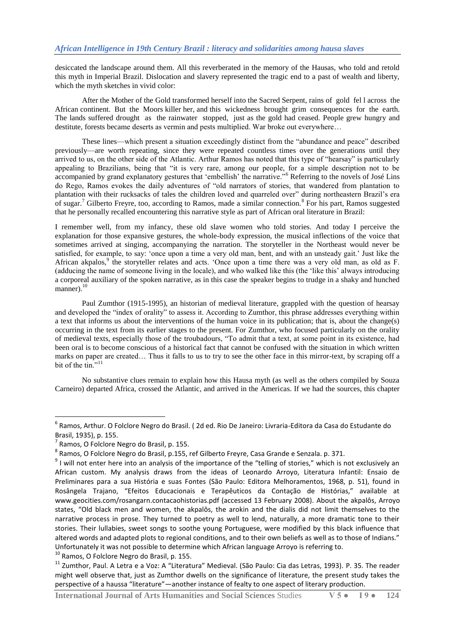desiccated the landscape around them. All this reverberated in the memory of the Hausas, who told and retold this myth in Imperial Brazil. Dislocation and slavery represented the tragic end to a past of wealth and liberty, which the myth sketches in vivid color:

After the Mother of the Gold transformed herself into the Sacred Serpent, rains of gold fel l across the African continent. But the Moors killer her, and this wickedness brought grim consequences for the earth. The lands suffered drought as the rainwater stopped, just as the gold had ceased. People grew hungry and destitute, forests became deserts as vermin and pests multiplied. War broke out everywhere…

These lines—which present a situation exceedingly distinct from the "abundance and peace" described previously—are worth repeating, since they were repeated countless times over the generations until they arrived to us, on the other side of the Atlantic. Arthur Ramos has noted that this type of "hearsay" is particularly appealing to Brazilians, being that "it is very rare, among our people, for a simple description not to be accompanied by grand explanatory gestures that 'embellish' the narrative."<sup>6</sup> Referring to the novels of José Lins do Rego, Ramos evokes the daily adventures of "old narrators of stories, that wandered from plantation to plantation with their rucksacks of tales the children loved and quarreled over" during northeastern Brazil's era of sugar.<sup>7</sup> Gilberto Freyre, too, according to Ramos, made a similar connection.<sup>8</sup> For his part, Ramos suggested that he personally recalled encountering this narrative style as part of African oral literature in Brazil:

I remember well, from my infancy, these old slave women who told stories. And today I perceive the explanation for those expansive gestures, the whole-body expression, the musical inflections of the voice that sometimes arrived at singing, accompanying the narration. The storyteller in the Northeast would never be satisfied, for example, to say: 'once upon a time a very old man, bent, and with an unsteady gait.' Just like the African akpalos,<sup>9</sup> the storyteller relates and acts. 'Once upon a time there was a very old man, as old as F. (adducing the name of someone living in the locale), and who walked like this (the ‗like this' always introducing a corporeal auxiliary of the spoken narrative, as in this case the speaker begins to trudge in a shaky and hunched manner).<sup>10</sup>

Paul Zumthor (1915-1995), an historian of medieval literature, grappled with the question of hearsay and developed the "index of orality" to assess it. According to Zumthor, this phrase addresses everything within a text that informs us about the interventions of the human voice in its publication; that is, about the change(s) occurring in the text from its earlier stages to the present. For Zumthor, who focused particularly on the orality of medieval texts, especially those of the troubadours, "To admit that a text, at some point in its existence, had been oral is to become conscious of a historical fact that cannot be confused with the situation in which written marks on paper are created… Thus it falls to us to try to see the other face in this mirror-text, by scraping off a bit of the tin."<sup>11</sup>

No substantive clues remain to explain how this Hausa myth (as well as the others compiled by Souza Carneiro) departed Africa, crossed the Atlantic, and arrived in the Americas. If we had the sources, this chapter

1

<sup>6</sup> Ramos, Arthur. O Folclore Negro do Brasil. ( 2d ed. Rio De Janeiro: Livraria-Editora da Casa do Estudante do Brasil, 1935), p. 155.

<sup>7</sup> Ramos, O Folclore Negro do Brasil, p. 155.

 $^8$  Ramos, O Folclore Negro do Brasil, p.155, ref Gilberto Freyre, Casa Grande e Senzala. p. 371.

 $9$  I will not enter here into an analysis of the importance of the "telling of stories," which is not exclusively an African custom. My analysis draws from the ideas of Leonardo Arroyo, Literatura Infantil: Ensaio de Preliminares para a sua História e suas Fontes (São Paulo: Editora Melhoramentos, 1968, p. 51), found in Rosângela Trajano, "Efeitos Educacionais e Terapêuticos da Contação de Histórias," available at www.geocities.com/rosangarn.contacaohistorias.pdf (accessed 13 February 2008). About the akpalôs, Arroyo states, "Old black men and women, the akpalôs, the arokin and the dialis did not limit themselves to the narrative process in prose. They turned to poetry as well to lend, naturally, a more dramatic tone to their stories. Their lullabies, sweet songs to soothe young Portuguese, were modified by this black influence that altered words and adapted plots to regional conditions, and to their own beliefs as well as to those of Indians." Unfortunately it was not possible to determine which African language Arroyo is referring to.

<sup>&</sup>lt;sup>10</sup> Ramos, O Folclore Negro do Brasil, p. 155.

<sup>&</sup>lt;sup>11</sup> Zumthor, Paul. A Letra e a Voz: A "Literatura" Medieval. (São Paulo: Cia das Letras, 1993). P. 35. The reader might well observe that, just as Zumthor dwells on the significance of literature, the present study takes the perspective of a haussa "literature"—another instance of fealty to one aspect of literary production.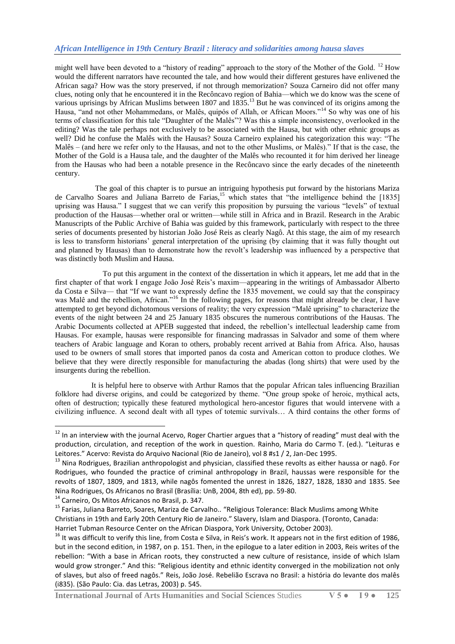might well have been devoted to a "history of reading" approach to the story of the Mother of the Gold.  $12$  How would the different narrators have recounted the tale, and how would their different gestures have enlivened the African saga? How was the story preserved, if not through memorization? Souza Carneiro did not offer many clues, noting only that he encountered it in the Recôncavo region of Bahia—which we do know was the scene of various uprisings by African Muslims between 1807 and 1835.<sup>13</sup> But he was convinced of its origins among the Hausa, "and not other Mohammedans, or Malês, quipós of Allah, or African Moors."<sup>14</sup> So why was one of his terms of classification for this tale "Daughter of the Malês"? Was this a simple inconsistency, overlooked in the editing? Was the tale perhaps not exclusively to be associated with the Hausa, but with other ethnic groups as well? Did he confuse the Malês with the Hausas? Souza Carneiro explained his categorization this way: "The Malês – (and here we refer only to the Hausas, and not to the other Muslims, or Malês)." If that is the case, the Mother of the Gold is a Hausa tale, and the daughter of the Malês who recounted it for him derived her lineage from the Hausas who had been a notable presence in the Recôncavo since the early decades of the nineteenth century.

 The goal of this chapter is to pursue an intriguing hypothesis put forward by the historians Mariza de Carvalho Soares and Juliana Barreto de Farias,<sup>15</sup> which states that "the intelligence behind the [1835] uprising was Hausa." I suggest that we can verify this proposition by pursuing the various "levels" of textual production of the Hausas—whether oral or written—while still in Africa and in Brazil. Research in the Arabic Manuscripts of the Public Archive of Bahia was guided by this framework, particularly with respect to the three series of documents presented by historian João José Reis as clearly Nagô. At this stage, the aim of my research is less to transform historians' general interpretation of the uprising (by claiming that it was fully thought out and planned by Hausas) than to demonstrate how the revolt's leadership was influenced by a perspective that was distinctly both Muslim and Hausa.

 To put this argument in the context of the dissertation in which it appears, let me add that in the first chapter of that work I engage João José Reis's maxim—appearing in the writings of Ambassador Alberto da Costa e Silva— that "If we want to expressly define the 1835 movement, we could say that the conspiracy was Malê and the rebellion, African.<sup>916</sup> In the following pages, for reasons that might already be clear, I have attempted to get beyond dichotomous versions of reality; the very expression "Malê uprising" to characterize the events of the night between 24 and 25 January 1835 obscures the numerous contributions of the Hausas. The Arabic Documents collected at APEB suggested that indeed, the rebellion's intellectual leadership came from Hausas. For example, hausas were responsible for financing madrassas in Salvador and some of them where teachers of Arabic language and Koran to others, probably recent arrived at Bahia from Africa. Also, hausas used to be owners of small stores that imported panos da costa and American cotton to produce clothes. We believe that they were directly responsible for manufacturing the abadas (long shirts) that were used by the insurgents during the rebellion.

 It is helpful here to observe with Arthur Ramos that the popular African tales influencing Brazilian folklore had diverse origins, and could be categorized by theme. "One group spoke of heroic, mythical acts, often of destruction; typically these featured mythological hero-ancestor figures that would intervene with a civilizing influence. A second dealt with all types of totemic survivals… A third contains the other forms of

<sup>14</sup> Carneiro, Os Mitos Africanos no Brasil, p. 347.

 $12$  In an interview with the journal Acervo, Roger Chartier argues that a "history of reading" must deal with the production, circulation, and reception of the work in question. Rainho, Maria do Carmo T. (ed.). "Leituras e Leitores." Acervo: Revista do Arquivo Nacional (Rio de Janeiro), vol 8 #s1 / 2, Jan-Dec 1995.

<sup>&</sup>lt;sup>13</sup> Nina Rodrigues, Brazilian anthropologist and physician, classified these revolts as either haussa or nagô. For Rodrigues, who founded the practice of criminal anthropology in Brazil, haussas were responsible for the revolts of 1807, 1809, and 1813, while nagôs fomented the unrest in 1826, 1827, 1828, 1830 and 1835. See Nina Rodrigues, Os Africanos no Brasil (Brasília: UnB, 2004, 8th ed), pp. 59-80.

<sup>&</sup>lt;sup>15</sup> Farias, Juliana Barreto, Soares, Mariza de Carvalho.. "Religious Tolerance: Black Muslims among White Christians in 19th and Early 20th Century Rio de Janeiro." Slavery, Islam and Diaspora. (Toronto, Canada: Harriet Tubman Resource Center on the African Diaspora, York University, October 2003).

 $16$  It was difficult to verify this line, from Costa e Silva, in Reis's work. It appears not in the first edition of 1986, but in the second edition, in 1987, on p. 151. Then, in the epilogue to a later edition in 2003, Reis writes of the rebellion: "With a base in African roots, they constructed a new culture of resistance, inside of which Islam would grow stronger." And this: "Religious identity and ethnic identity converged in the mobilization not only of slaves, but also of freed nagôs." Reis, João José. Rebelião Escrava no Brasil: a história do levante dos malês (i835). (São Paulo: Cia. das Letras, 2003) p. 545.

**International Journal of Arts Humanities and Social Sciences** Studies **V 5 ● I 9 ● 125**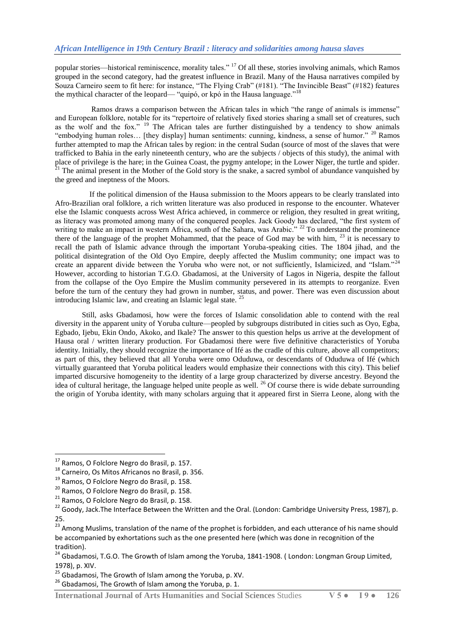popular stories—historical reminiscence, morality tales." <sup>17</sup> Of all these, stories involving animals, which Ramos grouped in the second category, had the greatest influence in Brazil. Many of the Hausa narratives compiled by Souza Carneiro seem to fit here: for instance, "The Flying Crab" (#181). "The Invincible Beast" (#182) features the mythical character of the leopard— "quipó, or kpó in the Hausa language."<sup>18</sup>

Ramos draws a comparison between the African tales in which "the range of animals is immense" and European folklore, notable for its "repertoire of relatively fixed stories sharing a small set of creatures, such as the wolf and the fox." <sup>19</sup> The African tales are further distinguished by a tendency to show animals "embodying human roles... [they display] human sentiments: cunning, kindness, a sense of humor."  $^{20}$  Ramos further attempted to map the African tales by region: in the central Sudan (source of most of the slaves that were trafficked to Bahia in the early nineteenth century, who are the subjects / objects of this study), the animal with place of privilege is the hare; in the Guinea Coast, the pygmy antelope; in the Lower Niger, the turtle and spider.  $21$  The animal present in the Mother of the Gold story is the snake, a sacred symbol of abundance vanquished by the greed and ineptness of the Moors.

 If the political dimension of the Hausa submission to the Moors appears to be clearly translated into Afro-Brazilian oral folklore, a rich written literature was also produced in response to the encounter. Whatever else the Islamic conquests across West Africa achieved, in commerce or religion, they resulted in great writing, as literacy was promoted among many of the conquered peoples. Jack Goody has declared, "the first system of writing to make an impact in western Africa, south of the Sahara, was Arabic.<sup>" 22</sup> To understand the prominence there of the language of the prophet Mohammed, that the peace of God may be with him,  $^{23}$  it is necessary to recall the path of Islamic advance through the important Yoruba-speaking cities. The 1804 jihad, and the political disintegration of the Old Oyo Empire, deeply affected the Muslim community; one impact was to create an apparent divide between the Yoruba who were not, or not sufficiently, Islamicized, and "Islam."<sup>24</sup> However, according to historian T.G.O. Gbadamosi, at the University of Lagos in Nigeria, despite the fallout from the collapse of the Oyo Empire the Muslim community persevered in its attempts to reorganize. Even before the turn of the century they had grown in number, status, and power. There was even discussion about introducing Islamic law, and creating an Islamic legal state. <sup>25</sup>

Still, asks Gbadamosi, how were the forces of Islamic consolidation able to contend with the real diversity in the apparent unity of Yoruba culture—peopled by subgroups distributed in cities such as Oyo, Egba, Egbado, Ijebu, Ekin Ondo, Akoko, and Ikale? The answer to this question helps us arrive at the development of Hausa oral / written literary production. For Gbadamosi there were five definitive characteristics of Yoruba identity. Initially, they should recognize the importance of Ife as the cradle of this culture, above all competitors; as part of this, they believed that all Yoruba were omo Oduduwa, or descendants of Oduduwa of Ifé (which virtually guaranteed that Yoruba political leaders would emphasize their connections with this city). This belief imparted discursive homogeneity to the identity of a large group characterized by diverse ancestry. Beyond the idea of cultural heritage, the language helped unite people as well. <sup>26</sup> Of course there is wide debate surrounding the origin of Yoruba identity, with many scholars arguing that it appeared first in Sierra Leone, along with the

 $\overline{a}$ 

<sup>&</sup>lt;sup>17</sup> Ramos, O Folclore Negro do Brasil, p. 157.

<sup>18</sup> Carneiro, Os Mitos Africanos no Brasil, p. 356.

<sup>&</sup>lt;sup>19</sup> Ramos, O Folclore Negro do Brasil, p. 158.

<sup>20</sup> Ramos, O Folclore Negro do Brasil, p. 158.

<sup>21</sup> Ramos, O Folclore Negro do Brasil, p. 158.

<sup>22</sup> Goody, Jack.The Interface Between the Written and the Oral. (London: Cambridge University Press, 1987), p. 25.

<sup>&</sup>lt;sup>23</sup> Among Muslims, translation of the name of the prophet is forbidden, and each utterance of his name should be accompanied by exhortations such as the one presented here (which was done in recognition of the tradition).

<sup>&</sup>lt;sup>24</sup> Gbadamosi, T.G.O. The Growth of Islam among the Yoruba, 1841-1908. (London: Longman Group Limited, 1978), p. XIV.

 $25$  Gbadamosi, The Growth of Islam among the Yoruba, p. XV.

 $26$  Gbadamosi. The Growth of Islam among the Yoruba, p. 1.

**International Journal of Arts Humanities and Social Sciences** Studies **V 5 ● I 9 ● 126**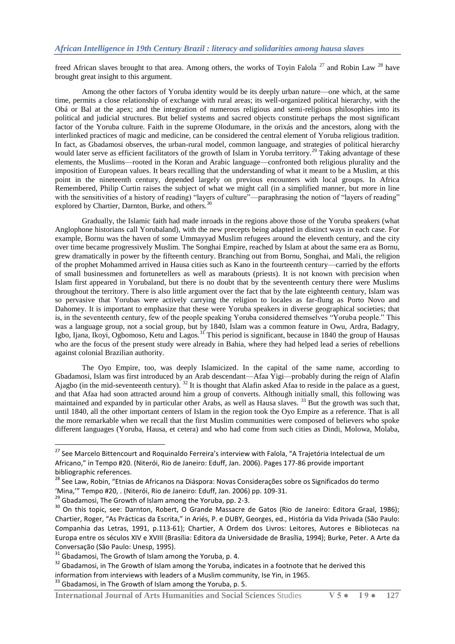freed African slaves brought to that area. Among others, the works of Toyin Falola<sup>27</sup> and Robin Law <sup>28</sup> have brought great insight to this argument.

Among the other factors of Yoruba identity would be its deeply urban nature—one which, at the same time, permits a close relationship of exchange with rural areas; its well-organized political hierarchy, with the Obá or Bal at the apex; and the integration of numerous religious and semi-religious philosophies into its political and judicial structures. But belief systems and sacred objects constitute perhaps the most significant factor of the Yoruba culture. Faith in the supreme Olodumare, in the orixás and the ancestors, along with the interlinked practices of magic and medicine, can be considered the central element of Yoruba religious tradition. In fact, as Gbadamosi observes, the urban-rural model, common language, and strategies of political hierarchy would later serve as efficient facilitators of the growth of Islam in Yoruba territory.<sup>29</sup> Taking advantage of these elements, the Muslims—rooted in the Koran and Arabic language—confronted both religious plurality and the imposition of European values. It bears recalling that the understanding of what it meant to be a Muslim, at this point in the nineteenth century, depended largely on previous encounters with local groups. In Africa Remembered, Philip Curtin raises the subject of what we might call (in a simplified manner, but more in line with the sensitivities of a history of reading) "layers of culture"—paraphrasing the notion of "layers of reading" explored by Chartier, Darnton, Burke, and others.<sup>30</sup>

Gradually, the Islamic faith had made inroads in the regions above those of the Yoruba speakers (what Anglophone historians call Yorubaland), with the new precepts being adapted in distinct ways in each case. For example, Bornu was the haven of some Ummayyad Muslim refugees around the eleventh century, and the city over time became progressively Muslim. The Songhai Empire, reached by Islam at about the same era as Bornu, grew dramatically in power by the fifteenth century. Branching out from Bornu, Songhai, and Mali, the religion of the prophet Mohammed arrived in Hausa cities such as Kano in the fourteenth century—carried by the efforts of small businessmen and fortunetellers as well as marabouts (priests). It is not known with precision when Islam first appeared in Yorubaland, but there is no doubt that by the seventeenth century there were Muslims throughout the territory. There is also little argument over the fact that by the late eighteenth century, Islam was so pervasive that Yorubas were actively carrying the religion to locales as far-flung as Porto Novo and Dahomey. It is important to emphasize that these were Yoruba speakers in diverse geographical societies; that is, in the seventeenth century, few of the people speaking Yoruba considered themselves "Yoruba people." This was a language group, not a social group, but by 1840, Islam was a common feature in Owu, Ardra, Badagry, Igbo, Ijana, Ikoyi, Ogbomoso, Ketu and Lagos.<sup>31</sup> This period is significant, because in 1840 the group of Hausas who are the focus of the present study were already in Bahia, where they had helped lead a series of rebellions against colonial Brazilian authority.

The Oyo Empire, too, was deeply Islamicized. In the capital of the same name, according to Gbadamosi, Islam was first introduced by an Arab descendant—Afaa Yigi—probably during the reign of Alafin Ajagbo (in the mid-seventeenth century). <sup>32</sup> It is thought that Alafin asked Afaa to reside in the palace as a guest, and that Afaa had soon attracted around him a group of converts. Although initially small, this following was maintained and expanded by in particular other Arabs, as well as Hausa slaves. <sup>33</sup> But the growth was such that, until 1840, all the other important centers of Islam in the region took the Oyo Empire as a reference. That is all the more remarkable when we recall that the first Muslim communities were composed of believers who spoke different languages (Yoruba, Hausa, et cetera) and who had come from such cities as Dindi, Molowa, Molaba,

**.** 

<sup>&</sup>lt;sup>27</sup> See Marcelo Bittencourt and Roquinaldo Ferreira's interview with Falola, "A Trajetória Intelectual de um Africano," in Tempo #20. (Niterói, Rio de Janeiro: Eduff, Jan. 2006). Pages 177-86 provide important bibliographic references.

<sup>28</sup> See Law, Robin, "Etnias de Africanos na Diáspora: Novas Considerações sobre os Significados do termo

<sup>&#</sup>x27;Mina,'" Tempo #20, . (Niterói, Rio de Janeiro: Eduff, Jan. 2006) pp. 109-31.

<sup>&</sup>lt;sup>29</sup> Gbadamosi, The Growth of Islam among the Yoruba, pp. 2-3.

<sup>30</sup> On this topic, see: Darnton, Robert, O Grande Massacre de Gatos (Rio de Janeiro: Editora Graal, 1986); Chartier, Roger, "As Prácticas da Escrita," in Ariés, P. e DUBY, Georges, ed., História da Vida Privada (São Paulo: Companhia das Letras, 1991, p.113-61); Chartier, A Ordem dos Livros: Leitores, Autores e Bibliotecas na Europa entre os séculos XIV e XVIII (Brasília: Editora da Universidade de Brasília, 1994); Burke, Peter. A Arte da Conversação (São Paulo: Unesp, 1995).

 $31$  Gbadamosi, The Growth of Islam among the Yoruba, p. 4.

<sup>&</sup>lt;sup>32</sup> Gbadamosi, in The Growth of Islam among the Yoruba, indicates in a footnote that he derived this information from interviews with leaders of a Muslim community, Ise Yin, in 1965.

<sup>&</sup>lt;sup>33</sup> Gbadamosi, in The Growth of Islam among the Yoruba, p. 5.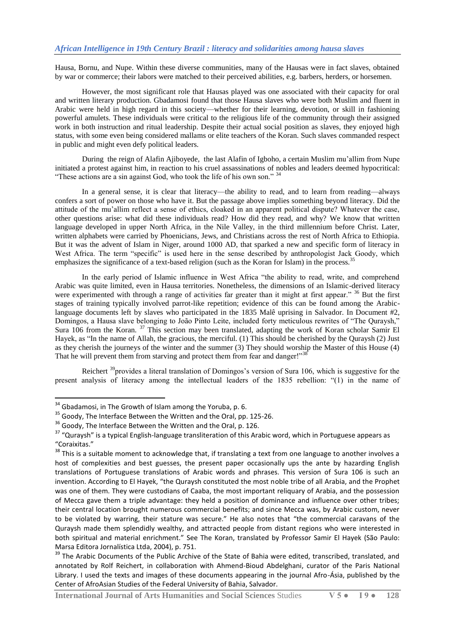Hausa, Bornu, and Nupe. Within these diverse communities, many of the Hausas were in fact slaves, obtained by war or commerce; their labors were matched to their perceived abilities, e.g. barbers, herders, or horsemen.

However, the most significant role that Hausas played was one associated with their capacity for oral and written literary production. Gbadamosi found that those Hausa slaves who were both Muslim and fluent in Arabic were held in high regard in this society—whether for their learning, devotion, or skill in fashioning powerful amulets. These individuals were critical to the religious life of the community through their assigned work in both instruction and ritual leadership. Despite their actual social position as slaves, they enjoyed high status, with some even being considered mallams or elite teachers of the Koran. Such slaves commanded respect in public and might even defy political leaders.

During the reign of Alafin Ajiboyede, the last Alafin of Igboho, a certain Muslim mu'allim from Nupe initiated a protest against him, in reaction to his cruel assassinations of nobles and leaders deemed hypocritical: "These actions are a sin against God, who took the life of his own son."  $34$ 

In a general sense, it is clear that literacy—the ability to read, and to learn from reading—always confers a sort of power on those who have it. But the passage above implies something beyond literacy. Did the attitude of the mu'allim reflect a sense of ethics, cloaked in an apparent political dispute? Whatever the case, other questions arise: what did these individuals read? How did they read, and why? We know that written language developed in upper North Africa, in the Nile Valley, in the third millennium before Christ. Later, written alphabets were carried by Phoenicians, Jews, and Christians across the rest of North Africa to Ethiopia. But it was the advent of Islam in Niger, around 1000 AD, that sparked a new and specific form of literacy in West Africa. The term "specific" is used here in the sense described by anthropologist Jack Goody, which emphasizes the significance of a text-based religion (such as the Koran for Islam) in the process.<sup>3</sup>

In the early period of Islamic influence in West Africa "the ability to read, write, and comprehend Arabic was quite limited, even in Hausa territories. Nonetheless, the dimensions of an Islamic-derived literacy were experimented with through a range of activities far greater than it might at first appear." <sup>36</sup> But the first stages of training typically involved parrot-like repetition; evidence of this can be found among the Arabiclanguage documents left by slaves who participated in the 1835 Malê uprising in Salvador. In Document #2, Domingos, a Hausa slave belonging to João Pinto Leite, included forty meticulous rewrites of "The Quraysh," Sura 106 from the Koran. <sup>37</sup> This section may been translated, adapting the work of Koran scholar Samir El Hayek, as "In the name of Allah, the gracious, the merciful. (1) This should be cherished by the Quraysh (2) Just as they cherish the journeys of the winter and the summer (3) They should worship the Master of this House (4) That he will prevent them from starving and protect them from fear and danger!"<sup>38</sup>

Reichert  $\frac{39}{9}$ provides a literal translation of Domingos's version of Sura 106, which is suggestive for the present analysis of literacy among the intellectual leaders of the 1835 rebellion: "(1) in the name of

**.** 

 $34$  Gbadamosi, in The Growth of Islam among the Yoruba, p. 6.

<sup>&</sup>lt;sup>35</sup> Goody, The Interface Between the Written and the Oral, pp. 125-26.

<sup>&</sup>lt;sup>36</sup> Goody, The Interface Between the Written and the Oral, p. 126.

<sup>&</sup>lt;sup>37</sup> "Quraysh" is a typical English-language transliteration of this Arabic word, which in Portuguese appears as "Coraixitas."

<sup>&</sup>lt;sup>38</sup> This is a suitable moment to acknowledge that, if translating a text from one language to another involves a host of complexities and best guesses, the present paper occasionally ups the ante by hazarding English translations of Portuguese translations of Arabic words and phrases. This version of Sura 106 is such an invention. According to El Hayek, "the Quraysh constituted the most noble tribe of all Arabia, and the Prophet was one of them. They were custodians of Caaba, the most important reliquary of Arabia, and the possession of Mecca gave them a triple advantage: they held a position of dominance and influence over other tribes; their central location brought numerous commercial benefits; and since Mecca was, by Arabic custom, never to be violated by warring, their stature was secure." He also notes that "the commercial caravans of the Quraysh made them splendidly wealthy, and attracted people from distant regions who were interested in both spiritual and material enrichment." See The Koran, translated by Professor Samir El Hayek (São Paulo: Marsa Editora Jornalística Ltda, 2004), p. 751.

<sup>&</sup>lt;sup>39</sup> The Arabic Documents of the Public Archive of the State of Bahia were edited, transcribed, translated, and annotated by Rolf Reichert, in collaboration with Ahmend-Bioud Abdelghani, curator of the Paris National Library. I used the texts and images of these documents appearing in the journal Afro-Ásia, published by the Center of AfroAsian Studies of the Federal University of Bahia, Salvador.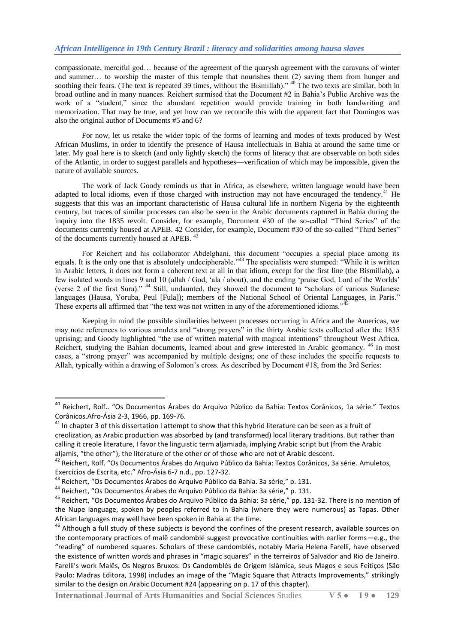compassionate, merciful god… because of the agreement of the quarysh agreement with the caravans of winter and summer… to worship the master of this temple that nourishes them (2) saving them from hunger and soothing their fears. (The text is repeated 39 times, without the Bismillah).<sup> $\lambda$ 40</sup> The two texts are similar, both in broad outline and in many nuances. Reichert surmised that the Document #2 in Bahia's Public Archive was the work of a "student," since the abundant repetition would provide training in both handwriting and memorization. That may be true, and yet how can we reconcile this with the apparent fact that Domingos was also the original author of Documents #5 and 6?

For now, let us retake the wider topic of the forms of learning and modes of texts produced by West African Muslims, in order to identify the presence of Hausa intellectuals in Bahia at around the same time or later. My goal here is to sketch (and only lightly sketch) the forms of literacy that are observable on both sides of the Atlantic, in order to suggest parallels and hypotheses—verification of which may be impossible, given the nature of available sources.

The work of Jack Goody reminds us that in Africa, as elsewhere, written language would have been adapted to local idioms, even if those charged with instruction may not have encouraged the tendency.<sup>41</sup> He suggests that this was an important characteristic of Hausa cultural life in northern Nigeria by the eighteenth century, but traces of similar processes can also be seen in the Arabic documents captured in Bahia during the inquiry into the 1835 revolt. Consider, for example, Document #30 of the so-called "Third Series" of the documents currently housed at APEB. 42 Consider, for example, Document #30 of the so-called "Third Series" of the documents currently housed at APEB. <sup>42</sup>

For Reichert and his collaborator Abdelghani, this document "occupies a special place among its equals. It is the only one that is absolutely undecipherable.<sup>43</sup> The specialists were stumped: "While it is written in Arabic letters, it does not form a coherent text at all in that idiom, except for the first line (the Bismillah), a few isolated words in lines 9 and 10 (allah / God, 'ala / about), and the ending 'praise God, Lord of the Worlds' (verse 2 of the first Sura)." <sup>44</sup> Still, undaunted, they showed the document to "scholars of various Sudanese" languages (Hausa, Yoruba, Peul [Fula]); members of the National School of Oriental Languages, in Paris." These experts all affirmed that "the text was not written in any of the aforementioned idioms."

Keeping in mind the possible similarities between processes occurring in Africa and the Americas, we may note references to various amulets and "strong prayers" in the thirty Arabic texts collected after the 1835 uprising; and Goody highlighted "the use of written material with magical intentions" throughout West Africa. Reichert, studying the Bahian documents, learned about and grew interested in Arabic geomancy. <sup>46</sup> In most cases, a "strong prayer" was accompanied by multiple designs; one of these includes the specific requests to Allah, typically within a drawing of Solomon's cross. As described by Document #18, from the 3rd Series:

<sup>&</sup>lt;sup>40</sup> Reichert, Rolf.. "Os Documentos Árabes do Arquivo Público da Bahia: Textos Corânicos, 1a série." Textos Corânicos.Afro-Ásia 2-3, 1966, pp. 169-76.

 $41$  In chapter 3 of this dissertation I attempt to show that this hybrid literature can be seen as a fruit of creolization, as Arabic production was absorbed by (and transformed) local literary traditions. But rather than calling it creole literature, I favor the linguistic term aljamiada, implying Arabic script but (from the Arabic aljamis, "the other"), the literature of the other or of those who are not of Arabic descent.

<sup>&</sup>lt;sup>42</sup> Reichert, Rolf. "Os Documentos Árabes do Arquivo Público da Bahia: Textos Corânicos, 3a série. Amuletos, Exercícios de Escrita, etc." Afro-Ásia 6-7 n.d., pp. 127-32.

<sup>43</sup> Reichert, "Os Documentos Árabes do Arquivo Público da Bahia. 3a série," p. 131.

<sup>44</sup> Reichert, "Os Documentos Árabes do Arquivo Público da Bahia: 3a série," p. 131.

<sup>&</sup>lt;sup>45</sup> Reichert. "Os Documentos Árabes do Arquivo Público da Bahia: 3a série," pp. 131-32. There is no mention of the Nupe language, spoken by peoples referred to in Bahia (where they were numerous) as Tapas. Other African languages may well have been spoken in Bahia at the time.

<sup>&</sup>lt;sup>46</sup> Although a full study of these subjects is beyond the confines of the present research, available sources on the contemporary practices of malê candomblé suggest provocative continuities with earlier forms—e.g., the "reading" of numbered squares. Scholars of these candomblés, notably Maria Helena Farelli, have observed the existence of written words and phrases in "magic squares" in the terreiros of Salvador and Rio de Janeiro. Farelli's work Malês, Os Negros Bruxos: Os Candomblés de Origem Islâmica, seus Magos e seus Feitiços (São Paulo: Madras Editora, 1998) includes an image of the "Magic Square that Attracts Improvements," strikingly similar to the design on Arabic Document #24 (appearing on p. 17 of this chapter).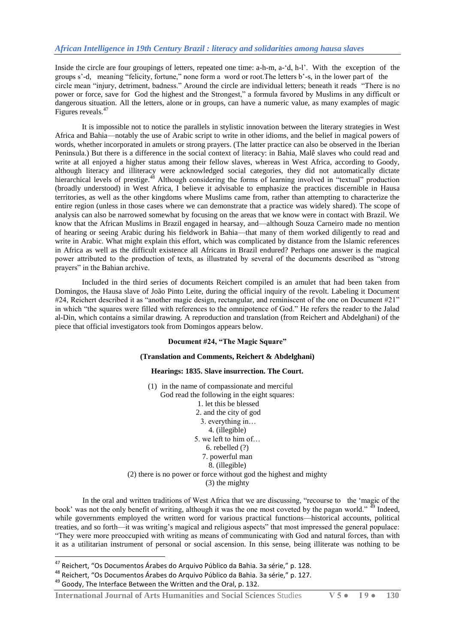Inside the circle are four groupings of letters, repeated one time: a-h-m, a-‗d, h-l'. With the exception of the groups s'-d, meaning "felicity, fortune," none form a word or root. The letters b'-s, in the lower part of the circle mean "injury, detriment, badness." Around the circle are individual letters; beneath it reads "There is no power or force, save for God the highest and the Strongest," a formula favored by Muslims in any difficult or dangerous situation. All the letters, alone or in groups, can have a numeric value, as many examples of magic Figures reveals.<sup>47</sup>

It is impossible not to notice the parallels in stylistic innovation between the literary strategies in West Africa and Bahia—notably the use of Arabic script to write in other idioms, and the belief in magical powers of words, whether incorporated in amulets or strong prayers. (The latter practice can also be observed in the Iberian Peninsula.) But there is a difference in the social context of literacy: in Bahia, Malê slaves who could read and write at all enjoyed a higher status among their fellow slaves, whereas in West Africa, according to Goody, although literacy and illiteracy were acknowledged social categories, they did not automatically dictate hierarchical levels of prestige.<sup>48</sup> Although considering the forms of learning involved in "textual" production (broadly understood) in West Africa, I believe it advisable to emphasize the practices discernible in Hausa territories, as well as the other kingdoms where Muslims came from, rather than attempting to characterize the entire region (unless in those cases where we can demonstrate that a practice was widely shared). The scope of analysis can also be narrowed somewhat by focusing on the areas that we know were in contact with Brazil. We know that the African Muslims in Brazil engaged in hearsay, and—although Souza Carneiro made no mention of hearing or seeing Arabic during his fieldwork in Bahia—that many of them worked diligently to read and write in Arabic. What might explain this effort, which was complicated by distance from the Islamic references in Africa as well as the difficult existence all Africans in Brazil endured? Perhaps one answer is the magical power attributed to the production of texts, as illustrated by several of the documents described as "strong" prayers" in the Bahian archive.

Included in the third series of documents Reichert compiled is an amulet that had been taken from Domingos, the Hausa slave of João Pinto Leite, during the official inquiry of the revolt. Labeling it Document  $#24$ , Reichert described it as "another magic design, rectangular, and reminiscent of the one on Document  $#21$ " in which "the squares were filled with references to the omnipotence of God." He refers the reader to the Jalad al-Din, which contains a similar drawing. A reproduction and translation (from Reichert and Abdelghani) of the piece that official investigators took from Domingos appears below.

#### **Document #24, "The Magic Square"**

#### **(Translation and Comments, Reichert & Abdelghani)**

#### **Hearings: 1835. Slave insurrection. The Court.**

(1) in the name of compassionate and merciful God read the following in the eight squares: 1. let this be blessed 2. and the city of god 3. everything in… 4. (illegible) 5. we left to him of… 6. rebelled (?) 7. powerful man 8. (illegible) (2) there is no power or force without god the highest and mighty (3) the mighty

In the oral and written traditions of West Africa that we are discussing, "recourse to the 'magic of the book' was not the only benefit of writing, although it was the one most coveted by the pagan world." <sup>49</sup> Indeed, while governments employed the written word for various practical functions—historical accounts, political treaties, and so forth—it was writing's magical and religious aspects" that most impressed the general populace: ―They were more preoccupied with writing as means of communicating with God and natural forces, than with it as a utilitarian instrument of personal or social ascension. In this sense, being illiterate was nothing to be

<sup>&</sup>lt;sup>47</sup> Reichert, "Os Documentos Árabes do Arquivo Público da Bahia. 3a série," p. 128.

<sup>48</sup> Reichert, "Os Documentos Árabes do Arquivo Público da Bahia. 3a série," p. 127.

<sup>49</sup> Goody, The Interface Between the Written and the Oral, p. 132.

**International Journal of Arts Humanities and Social Sciences** Studies **V 5 ● I 9 ● 130**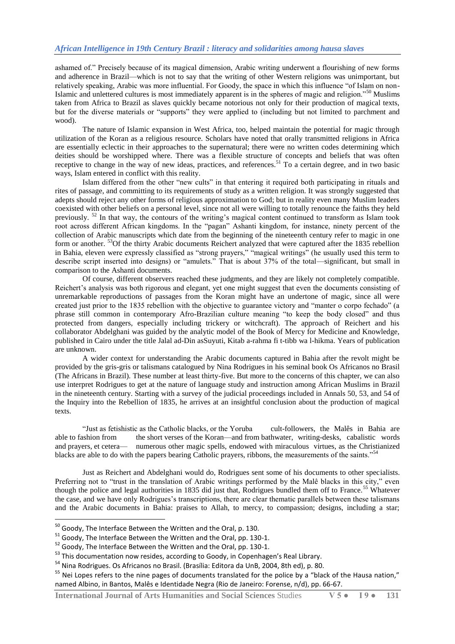ashamed of.‖ Precisely because of its magical dimension, Arabic writing underwent a flourishing of new forms and adherence in Brazil—which is not to say that the writing of other Western religions was unimportant, but relatively speaking, Arabic was more influential. For Goody, the space in which this influence "of Islam on non-Islamic and unlettered cultures is most immediately apparent is in the spheres of magic and religion."<sup>50</sup> Muslims taken from Africa to Brazil as slaves quickly became notorious not only for their production of magical texts, but for the diverse materials or "supports" they were applied to (including but not limited to parchment and wood).

The nature of Islamic expansion in West Africa, too, helped maintain the potential for magic through utilization of the Koran as a religious resource. Scholars have noted that orally transmitted religions in Africa are essentially eclectic in their approaches to the supernatural; there were no written codes determining which deities should be worshipped where. There was a flexible structure of concepts and beliefs that was often receptive to change in the way of new ideas, practices, and references.<sup>51</sup> To a certain degree, and in two basic ways, Islam entered in conflict with this reality.

Islam differed from the other "new cults" in that entering it required both participating in rituals and rites of passage, and committing to its requirements of study as a written religion. It was strongly suggested that adepts should reject any other forms of religious approximation to God; but in reality even many Muslim leaders coexisted with other beliefs on a personal level, since not all were willing to totally renounce the faiths they held previously. <sup>52</sup> In that way, the contours of the writing's magical content continued to transform as Islam took root across different African kingdoms. In the "pagan" Ashanti kingdom, for instance, ninety percent of the collection of Arabic manuscripts which date from the beginning of the nineteenth century refer to magic in one form or another. <sup>53</sup>Of the thirty Arabic documents Reichert analyzed that were captured after the 1835 rebellion in Bahia, eleven were expressly classified as "strong prayers," "magical writings" (he usually used this term to describe script inserted into designs) or "amulets." That is about 37% of the total—significant, but small in comparison to the Ashanti documents.

Of course, different observers reached these judgments, and they are likely not completely compatible. Reichert's analysis was both rigorous and elegant, yet one might suggest that even the documents consisting of unremarkable reproductions of passages from the Koran might have an undertone of magic, since all were created just prior to the 1835 rebellion with the objective to guarantee victory and "manter o corpo fechado" (a phrase still common in contemporary Afro-Brazilian culture meaning "to keep the body closed" and thus protected from dangers, especially including trickery or witchcraft). The approach of Reichert and his collaborator Abdelghani was guided by the analytic model of the Book of Mercy for Medicine and Knowledge, published in Cairo under the title Jalal ad-Din asSuyuti, Kitab a-rahma fi t-tibb wa l-hikma. Years of publication are unknown.

A wider context for understanding the Arabic documents captured in Bahia after the revolt might be provided by the gris-gris or talismans catalogued by Nina Rodrigues in his seminal book Os Africanos no Brasil (The Africans in Brazil). These number at least thirty-five. But more to the concerns of this chapter, we can also use interpret Rodrigues to get at the nature of language study and instruction among African Muslims in Brazil in the nineteenth century. Starting with a survey of the judicial proceedings included in Annals 50, 53, and 54 of the Inquiry into the Rebellion of 1835, he arrives at an insightful conclusion about the production of magical texts.

―Just as fetishistic as the Catholic blacks, or the Yoruba cult-followers, the Malês in Bahia are able to fashion from the short verses of the Koran—and from bathwater, writing-desks, cabalistic words and prayers, et cetera— numerous other magic spells, endowed with miraculous virtues, as the Christianized blacks are able to do with the papers bearing Catholic prayers, ribbons, the measurements of the saints.<sup>554</sup>

Just as Reichert and Abdelghani would do, Rodrigues sent some of his documents to other specialists. Preferring not to "trust in the translation of Arabic writings performed by the Malê blacks in this city," even though the police and legal authorities in 1835 did just that, Rodrigues bundled them off to France.<sup>55</sup> Whatever the case, and we have only Rodrigues's transcriptions, there are clear thematic parallels between these talismans and the Arabic documents in Bahia: praises to Allah, to mercy, to compassion; designs, including a star;

 $\overline{a}$ 

 $^{50}$  Goody, The Interface Between the Written and the Oral, p. 130.

 $51$  Goody, The Interface Between the Written and the Oral, pp. 130-1.

 $52$  Goody, The Interface Between the Written and the Oral, pp. 130-1.

<sup>&</sup>lt;sup>53</sup> This documentation now resides, according to Goody, in Copenhagen's Real Library.

<sup>54</sup> Nina Rodrigues. Os Africanos no Brasil. (Brasília: Editora da UnB, 2004, 8th ed), p. 80.

<sup>&</sup>lt;sup>55</sup> Nei Lopes refers to the nine pages of documents translated for the police by a "black of the Hausa nation," named Albino, in Bantos, Malês e Identidade Negra (Rio de Janeiro: Forense, n/d), pp. 66-67.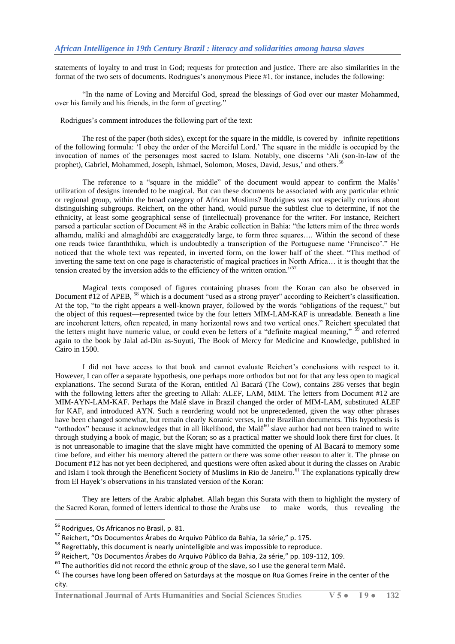statements of loyalty to and trust in God; requests for protection and justice. There are also similarities in the format of the two sets of documents. Rodrigues's anonymous Piece #1, for instance, includes the following:

―In the name of Loving and Merciful God, spread the blessings of God over our master Mohammed, over his family and his friends, in the form of greeting."

Rodrigues's comment introduces the following part of the text:

The rest of the paper (both sides), except for the square in the middle, is covered by infinite repetitions of the following formula: ‗I obey the order of the Merciful Lord.' The square in the middle is occupied by the invocation of names of the personages most sacred to Islam. Notably, one discerns ‗Ali (son-in-law of the prophet), Gabriel, Mohammed, Joseph, Ishmael, Solomon, Moses, David, Jesus,' and others.

The reference to a "square in the middle" of the document would appear to confirm the Malês' utilization of designs intended to be magical. But can these documents be associated with any particular ethnic or regional group, within the broad category of African Muslims? Rodrigues was not especially curious about distinguishing subgroups. Reichert, on the other hand, would pursue the subtlest clue to determine, if not the ethnicity, at least some geographical sense of (intellectual) provenance for the writer. For instance, Reichert parsed a particular section of Document #8 in the Arabic collection in Bahia: "the letters mim of the three words alhamdu, maliki and almaghdúbi are exaggeratedly large, to form three squares…. Within the second of these one reads twice faranththiku, which is undoubtedly a transcription of the Portuguese name 'Francisco'." He noticed that the whole text was repeated, in inverted form, on the lower half of the sheet. "This method of inverting the same text on one page is characteristic of magical practices in North Africa… it is thought that the tension created by the inversion adds to the efficiency of the written oration."<sup>57</sup>

Magical texts composed of figures containing phrases from the Koran can also be observed in Document #12 of APEB, <sup>58</sup> which is a document "used as a strong prayer" according to Reichert's classification. At the top, "to the right appears a well-known prayer, followed by the words "obligations of the request," but the object of this request—represented twice by the four letters MIM-LAM-KAF is unreadable. Beneath a line are incoherent letters, often repeated, in many horizontal rows and two vertical ones." Reichert speculated that the letters might have numeric value, or could even be letters of a "definite magical meaning,"  $\frac{59}{2}$  and referred again to the book by Jalal ad-Din as-Suyuti, The Book of Mercy for Medicine and Knowledge, published in Cairo in 1500.

I did not have access to that book and cannot evaluate Reichert's conclusions with respect to it. However, I can offer a separate hypothesis, one perhaps more orthodox but not for that any less open to magical explanations. The second Surata of the Koran, entitled Al Bacará (The Cow), contains 286 verses that begin with the following letters after the greeting to Allah: ALEF, LAM, MIM. The letters from Document #12 are MIM-AYN-LAM-KAF. Perhaps the Malê slave in Brazil changed the order of MIM-LAM, substituted ALEF for KAF, and introduced AYN. Such a reordering would not be unprecedented, given the way other phrases have been changed somewhat, but remain clearly Koranic verses, in the Brazilian documents. This hypothesis is "orthodox" because it acknowledges that in all likelihood, the Malê<sup>60</sup> slave author had not been trained to write through studying a book of magic, but the Koran; so as a practical matter we should look there first for clues. It is not unreasonable to imagine that the slave might have committed the opening of Al Bacará to memory some time before, and either his memory altered the pattern or there was some other reason to alter it. The phrase on Document #12 has not yet been deciphered, and questions were often asked about it during the classes on Arabic and Islam I took through the Beneficent Society of Muslims in Rio de Janeiro.<sup>61</sup> The explanations typically drew from El Hayek's observations in his translated version of the Koran:

They are letters of the Arabic alphabet. Allah began this Surata with them to highlight the mystery of the Sacred Koran, formed of letters identical to those the Arabs use to make words, thus revealing the

 $\overline{a}$ 

**International Journal of Arts Humanities and Social Sciences** Studies **V 5 ● I 9 ● 132**

<sup>&</sup>lt;sup>56</sup> Rodrigues, Os Africanos no Brasil, p. 81.

<sup>57</sup> Reichert, "Os Documentos Árabes do Arquivo Público da Bahia, 1a série," p. 175.

<sup>&</sup>lt;sup>58</sup> Regrettably, this document is nearly unintelligible and was impossible to reproduce.

<sup>&</sup>lt;sup>59</sup> Reichert, "Os Documentos Árabes do Arquivo Público da Bahia, 2a série," pp. 109-112, 109.

 $^{60}$  The authorities did not record the ethnic group of the slave, so I use the general term Malê.

<sup>&</sup>lt;sup>61</sup> The courses have long been offered on Saturdays at the mosque on Rua Gomes Freire in the center of the city.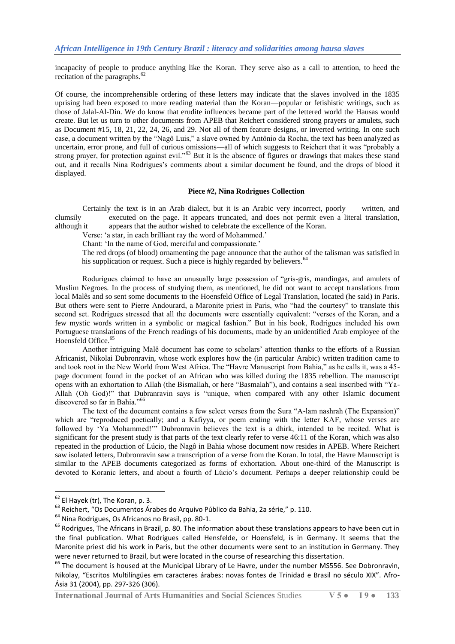incapacity of people to produce anything like the Koran. They serve also as a call to attention, to heed the recitation of the paragraphs.<sup>62</sup>

Of course, the incomprehensible ordering of these letters may indicate that the slaves involved in the 1835 uprising had been exposed to more reading material than the Koran—popular or fetishistic writings, such as those of Jalal-Al-Din. We do know that erudite influences became part of the lettered world the Hausas would create. But let us turn to other documents from APEB that Reichert considered strong prayers or amulets, such as Document #15, 18, 21, 22, 24, 26, and 29. Not all of them feature designs, or inverted writing. In one such case, a document written by the "Nagô Luis," a slave owned by Antônio da Rocha, the text has been analyzed as uncertain, error prone, and full of curious omissions—all of which suggests to Reichert that it was "probably a strong prayer, for protection against evil.<sup>563</sup> But it is the absence of figures or drawings that makes these stand out, and it recalls Nina Rodrigues's comments about a similar document he found, and the drops of blood it displayed.

#### **Piece #2, Nina Rodrigues Collection**

Certainly the text is in an Arab dialect, but it is an Arabic very incorrect, poorly written, and clumsily executed on the page. It appears truncated, and does not permit even a literal translation, although it appears that the author wished to celebrate the excellence of the Koran.

Verse: ‗a star, in each brilliant ray the word of Mohammed.'

Chant: 'In the name of God, merciful and compassionate.'

The red drops (of blood) ornamenting the page announce that the author of the talisman was satisfied in his supplication or request. Such a piece is highly regarded by believers.<sup>64</sup>

Rodurigues claimed to have an unusually large possession of "gris-gris, mandingas, and amulets of Muslim Negroes. In the process of studying them, as mentioned, he did not want to accept translations from local Malês and so sent some documents to the Hoensfeld Office of Legal Translation, located (he said) in Paris. But others were sent to Pierre Andourard, a Maronite priest in Paris, who "had the courtesy" to translate this second set. Rodrigues stressed that all the documents were essentially equivalent: "verses of the Koran, and a few mystic words written in a symbolic or magical fashion." But in his book, Rodrigues included his own Portuguese translations of the French readings of his documents, made by an unidentified Arab employee of the Hoensfeld Office.<sup>65</sup>

Another intriguing Malê document has come to scholars' attention thanks to the efforts of a Russian Africanist, Nikolai Dubronravin, whose work explores how the (in particular Arabic) written tradition came to and took root in the New World from West Africa. The "Havre Manuscript from Bahia," as he calls it, was a 45page document found in the pocket of an African who was killed during the 1835 rebellion. The manuscript opens with an exhortation to Allah (the Bismallah, or here "Basmalah"), and contains a seal inscribed with "Ya-Allah (Oh God)!" that Dubranravin says is "unique, when compared with any other Islamic document discovered so far in Bahia."<sup>66</sup>

The text of the document contains a few select verses from the Sura "A-lam nashrah (The Expansion)" which are "reproduced poetically; and a Kafiyya, or poem ending with the letter KAF, whose verses are followed by 'Ya Mohammed!'" Dubronravin believes the text is a dhirk, intended to be recited. What is significant for the present study is that parts of the text clearly refer to verse 46:11 of the Koran, which was also repeated in the production of Lúcio, the Nagô in Bahia whose document now resides in APEB. Where Reichert saw isolated letters, Dubronravin saw a transcription of a verse from the Koran. In total, the Havre Manuscript is similar to the APEB documents categorized as forms of exhortation. About one-third of the Manuscript is devoted to Koranic letters, and about a fourth of Lúcio's document. Perhaps a deeper relationship could be

**.** 

 $62$  El Hayek (tr), The Koran, p. 3.

<sup>63</sup> Reichert, "Os Documentos Árabes do Arquivo Público da Bahia, 2a série," p. 110.

<sup>64</sup> Nina Rodrigues, Os Africanos no Brasil, pp. 80-1.

<sup>&</sup>lt;sup>65</sup> Rodrigues, The Africans in Brazil, p. 80. The information about these translations appears to have been cut in the final publication. What Rodrigues called Hensfelde, or Hoensfeld, is in Germany. It seems that the Maronite priest did his work in Paris, but the other documents were sent to an institution in Germany. They were never returned to Brazil, but were located in the course of researching this dissertation.

<sup>&</sup>lt;sup>66</sup> The document is housed at the Municipal Library of Le Havre, under the number MS556. See Dobronravin, Nikolay, "Escritos Multilíngües em caracteres árabes: novas fontes de Trinidad e Brasil no século XIX". Afro-Ásia 31 (2004), pp. 297-326 (306).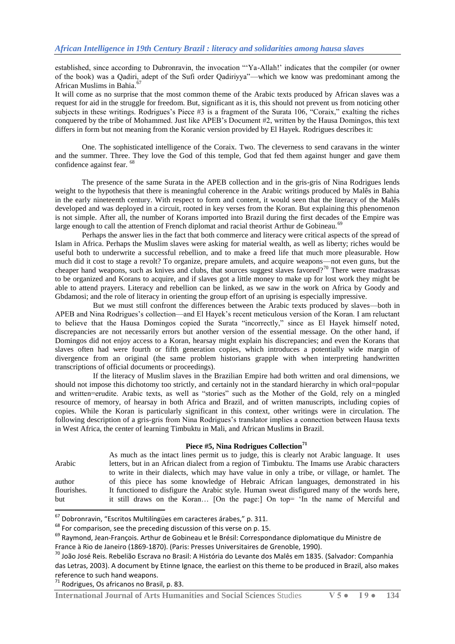established, since according to Dubronravin, the invocation "Ya-Allah!' indicates that the compiler (or owner of the book) was a Qadiri, adept of the Sufi order Qadiriyya"—which we know was predominant among the African Muslims in Bahia.<sup>6</sup>

It will come as no surprise that the most common theme of the Arabic texts produced by African slaves was a request for aid in the struggle for freedom. But, significant as it is, this should not prevent us from noticing other subjects in these writings. Rodrigues's Piece #3 is a fragment of the Surata 106, "Coraix," exalting the riches conquered by the tribe of Mohammed. Just like APEB's Document #2, written by the Hausa Domingos, this text differs in form but not meaning from the Koranic version provided by El Hayek. Rodrigues describes it:

One. The sophisticated intelligence of the Coraix. Two. The cleverness to send caravans in the winter and the summer. Three. They love the God of this temple, God that fed them against hunger and gave them confidence against fear. <sup>68</sup>

The presence of the same Surata in the APEB collection and in the gris-gris of Nina Rodrigues lends weight to the hypothesis that there is meaningful coherence in the Arabic writings produced by Malês in Bahia in the early nineteenth century. With respect to form and content, it would seen that the literacy of the Malês developed and was deployed in a circuit, rooted in key verses from the Koran. But explaining this phenomenon is not simple. After all, the number of Korans imported into Brazil during the first decades of the Empire was large enough to call the attention of French diplomat and racial theorist Arthur de Gobineau.<sup>69</sup>

Perhaps the answer lies in the fact that both commerce and literacy were critical aspects of the spread of Islam in Africa. Perhaps the Muslim slaves were asking for material wealth, as well as liberty; riches would be useful both to underwrite a successful rebellion, and to make a freed life that much more pleasurable. How much did it cost to stage a revolt? To organize, prepare amulets, and acquire weapons—not even guns, but the cheaper hand weapons, such as knives and clubs, that sources suggest slaves favored?<sup>70</sup> There were madrassas to be organized and Korans to acquire, and if slaves got a little money to make up for lost work they might be able to attend prayers. Literacy and rebellion can be linked, as we saw in the work on Africa by Goody and Gbdamosi; and the role of literacy in orienting the group effort of an uprising is especially impressive.

But we must still confront the differences between the Arabic texts produced by slaves—both in APEB and Nina Rodrigues's collection—and El Hayek's recent meticulous version of the Koran. I am reluctant to believe that the Hausa Domingos copied the Surata "incorrectly," since as El Hayek himself noted, discrepancies are not necessarily errors but another version of the essential message. On the other hand, if Domingos did not enjoy access to a Koran, hearsay might explain his discrepancies; and even the Korans that slaves often had were fourth or fifth generation copies, which introduces a potentially wide margin of divergence from an original (the same problem historians grapple with when interpreting handwritten transcriptions of official documents or proceedings).

If the literacy of Muslim slaves in the Brazilian Empire had both written and oral dimensions, we should not impose this dichotomy too strictly, and certainly not in the standard hierarchy in which oral=popular and written=erudite. Arabic texts, as well as "stories" such as the Mother of the Gold, rely on a mingled resource of memory, of hearsay in both Africa and Brazil, and of written manuscripts, including copies of copies. While the Koran is particularly significant in this context, other writings were in circulation. The following description of a gris-gris from Nina Rodrigues's translator implies a connection between Hausa texts in West Africa, the center of learning Timbuktu in Mali, and African Muslims in Brazil.

#### **Piece #5, Nina Rodrigues Collection<sup>71</sup>**

|             | As much as the intact lines permit us to judge, this is clearly not Arabic language. It uses  |
|-------------|-----------------------------------------------------------------------------------------------|
| Arabic      | letters, but in an African dialect from a region of Timbuktu. The Imams use Arabic characters |
|             | to write in their dialects, which may have value in only a tribe, or village, or hamlet. The  |
| author      | of this piece has some knowledge of Hebraic African languages, demonstrated in his            |
| flourishes. | It functioned to disfigure the Arabic style. Human sweat disfigured many of the words here,   |
| but         | it still draws on the Koran [On the page:] On top= 'In the name of Merciful and               |

 $^{67}$  Dobronravin, "Escritos Multilíngües em caracteres árabes," p. 311.

**.** 

 $^{68}$  For comparison, see the preceding discussion of this verse on p. 15.

<sup>69</sup> Raymond, Jean-François. Arthur de Gobineau et le Brésil: Correspondance diplomatique du Ministre de France à Rio de Janeiro (1869-1870). (Paris: Presses Universitaires de Grenoble, 1990).

<sup>70</sup> João José Reis. Rebelião Escrava no Brasil: A História do Levante dos Malês em 1835. (Salvador: Companhia das Letras, 2003). A document by Etinne Ignace, the earliest on this theme to be produced in Brazil, also makes reference to such hand weapons.

 $71$  Rodrigues, Os africanos no Brasil, p. 83.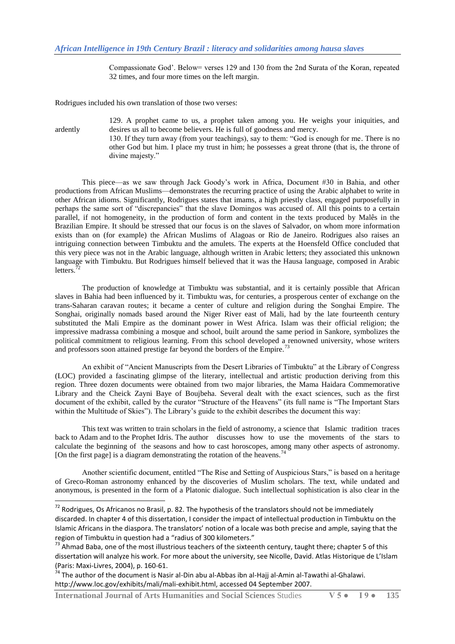Compassionate God'. Below= verses 129 and 130 from the 2nd Surata of the Koran, repeated 32 times, and four more times on the left margin.

Rodrigues included his own translation of those two verses:

divine majesty."

1

129. A prophet came to us, a prophet taken among you. He weighs your iniquities, and ardently desires us all to become believers. He is full of goodness and mercy. 130. If they turn away (from your teachings), say to them: "God is enough for me. There is no other God but him. I place my trust in him; he possesses a great throne (that is, the throne of

This piece—as we saw through Jack Goody's work in Africa, Document #30 in Bahia, and other productions from African Muslims—demonstrates the recurring practice of using the Arabic alphabet to write in other African idioms. Significantly, Rodrigues states that imams, a high priestly class, engaged purposefully in perhaps the same sort of "discrepancies" that the slave Domingos was accused of. All this points to a certain parallel, if not homogeneity, in the production of form and content in the texts produced by Malês in the Brazilian Empire. It should be stressed that our focus is on the slaves of Salvador, on whom more information exists than on (for example) the African Muslims of Alagoas or Rio de Janeiro. Rodrigues also raises an intriguing connection between Timbuktu and the amulets. The experts at the Hoensfeld Office concluded that this very piece was not in the Arabic language, although written in Arabic letters; they associated this unknown language with Timbuktu. But Rodrigues himself believed that it was the Hausa language, composed in Arabic letters. $72$ 

The production of knowledge at Timbuktu was substantial, and it is certainly possible that African slaves in Bahia had been influenced by it. Timbuktu was, for centuries, a prosperous center of exchange on the trans-Saharan caravan routes; it became a center of culture and religion during the Songhai Empire. The Songhai, originally nomads based around the Niger River east of Mali, had by the late fourteenth century substituted the Mali Empire as the dominant power in West Africa. Islam was their official religion; the impressive madrassa combining a mosque and school, built around the same period in Sankore, symbolizes the political commitment to religious learning. From this school developed a renowned university, whose writers and professors soon attained prestige far beyond the borders of the Empire.<sup>73</sup>

An exhibit of "Ancient Manuscripts from the Desert Libraries of Timbuktu" at the Library of Congress (LOC) provided a fascinating glimpse of the literary, intellectual and artistic production deriving from this region. Three dozen documents were obtained from two major libraries, the Mama Haidara Commemorative Library and the Cheick Zayni Baye of Boujbeha. Several dealt with the exact sciences, such as the first document of the exhibit, called by the curator "Structure of the Heavens" (its full name is "The Important Stars within the Multitude of Skies"). The Library's guide to the exhibit describes the document this way:

This text was written to train scholars in the field of astronomy, a science that Islamic tradition traces back to Adam and to the Prophet Idris. The author discusses how to use the movements of the stars to calculate the beginning of the seasons and how to cast horoscopes, among many other aspects of astronomy. [On the first page] is a diagram demonstrating the rotation of the heavens.<sup>74</sup>

Another scientific document, entitled "The Rise and Setting of Auspicious Stars," is based on a heritage of Greco-Roman astronomy enhanced by the discoveries of Muslim scholars. The text, while undated and anonymous, is presented in the form of a Platonic dialogue. Such intellectual sophistication is also clear in the

 $^{72}$  Rodrigues, Os Africanos no Brasil, p. 82. The hypothesis of the translators should not be immediately discarded. In chapter 4 of this dissertation, I consider the impact of intellectual production in Timbuktu on the Islamic Africans in the diaspora. The translators' notion of a locale was both precise and ample, saying that the region of Timbuktu in question had a "radius of 300 kilometers."

<sup>&</sup>lt;sup>73</sup> Ahmad Baba, one of the most illustrious teachers of the sixteenth century, taught there; chapter 5 of this dissertation will analyze his work. For more about the university, see Nicolle, David. Atlas Historique de L'Islam (Paris: Maxi-Livres, 2004), p. 160-61.

<sup>&</sup>lt;sup>74</sup> The author of the document is Nasir al-Din abu al-Abbas ibn al-Hajj al-Amin al-Tawathi al-Ghalawi. http://www.loc.gov/exhibits/mali/mali-exhibit.html, accessed 04 September 2007.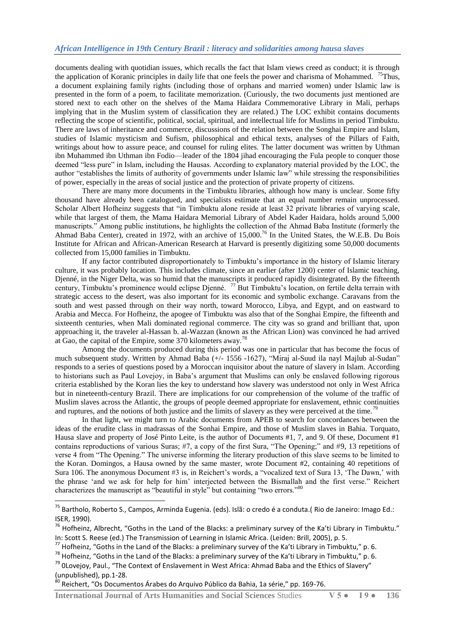documents dealing with quotidian issues, which recalls the fact that Islam views creed as conduct; it is through the application of Koranic principles in daily life that one feels the power and charisma of Mohammed. <sup>75</sup>Thus, a document explaining family rights (including those of orphans and married women) under Islamic law is presented in the form of a poem, to facilitate memorization. (Curiously, the two documents just mentioned are stored next to each other on the shelves of the Mama Haidara Commemorative Library in Mali, perhaps implying that in the Muslim system of classification they are related.) The LOC exhibit contains documents reflecting the scope of scientific, political, social, spiritual, and intellectual life for Muslims in period Timbuktu. There are laws of inheritance and commerce, discussions of the relation between the Songhai Empire and Islam, studies of Islamic mysticism and Sufism, philosophical and ethical texts, analyses of the Pillars of Faith, writings about how to assure peace, and counsel for ruling elites. The latter document was written by Uthman ibn Muhammed ibn Uthman ibn Fodio—leader of the 1804 jihad encouraging the Fula people to conquer those deemed "less pure" in Islam, including the Hausas. According to explanatory material provided by the LOC, the author "establishes the limits of authority of governments under Islamic law" while stressing the responsibilities of power, especially in the areas of social justice and the protection of private property of citizens.

There are many more documents in the Timbuktu libraries, although how many is unclear. Some fifty thousand have already been catalogued, and specialists estimate that an equal number remain unprocessed. Scholar Albert Hofheinz suggests that "in Timbuktu alone reside at least 32 private libraries of varying scale, while that largest of them, the Mama Haidara Memorial Library of Abdel Kader Haidara, holds around 5,000 manuscripts.‖ Among public institutions, he highlights the collection of the Ahmad Baba Institute (formerly the Ahmad Baba Center), created in 1972, with an archive of 15,000.<sup>76</sup> In the United States, the W.E.B. Du Bois Institute for African and African-American Research at Harvard is presently digitizing some 50,000 documents collected from 15,000 families in Timbuktu.

If any factor contributed disproportionately to Timbuktu's importance in the history of Islamic literary culture, it was probably location. This includes climate, since an earlier (after 1200) center of Islamic teaching, Djenné, in the Niger Delta, was so humid that the manuscripts it produced rapidly disintegrated. By the fifteenth century, Timbuktu's prominence would eclipse Djenné. <sup>77</sup> But Timbuktu's location, on fertile delta terrain with strategic access to the desert, was also important for its economic and symbolic exchange. Caravans from the south and west passed through on their way north, toward Morocco, Libya, and Egypt, and on eastward to Arabia and Mecca. For Hofheinz, the apogee of Timbuktu was also that of the Songhai Empire, the fifteenth and sixteenth centuries, when Mali dominated regional commerce. The city was so grand and brilliant that, upon approaching it, the traveler al-Hassan b. al-Wazzan (known as the African Lion) was convinced he had arrived at Gao, the capital of the Empire, some 370 kilometers away.<sup>78</sup>

Among the documents produced during this period was one in particular that has become the focus of much subsequent study. Written by Ahmad Baba  $(+/- 1556 -1627)$ , "Miraj al-Suud ila nayl Majlub al-Sudan" responds to a series of questions posed by a Moroccan inquisitor about the nature of slavery in Islam. According to historians such as Paul Lovejoy, in Baba's argument that Muslims can only be enslaved following rigorous criteria established by the Koran lies the key to understand how slavery was understood not only in West Africa but in nineteenth-century Brazil. There are implications for our comprehension of the volume of the traffic of Muslim slaves across the Atlantic, the groups of people deemed appropriate for enslavement, ethnic continuities and ruptures, and the notions of both justice and the limits of slavery as they were perceived at the time.<sup>7</sup>

In that light, we might turn to Arabic documents from APEB to search for concordances between the ideas of the erudite class in madrassas of the Sonhai Empire, and those of Muslim slaves in Bahia. Torquato, Hausa slave and property of José Pinto Leite, is the author of Documents #1, 7, and 9. Of these, Document #1 contains reproductions of various Suras; #7, a copy of the first Sura, "The Opening;" and #9, 13 repetitions of verse 4 from "The Opening." The universe informing the literary production of this slave seems to be limited to the Koran. Domingos, a Hausa owned by the same master, wrote Document #2, containing 40 repetitions of Sura 106. The anonymous Document #3 is, in Reichert's words, a "vocalized text of Sura 13, 'The Dawn,' with the phrase 'and we ask for help for him' interjected between the Bismallah and the first verse." Reichert characterizes the manuscript as "beautiful in style" but containing "two errors."

1

<sup>&</sup>lt;sup>75</sup> Bartholo, Roberto S., Campos, Arminda Eugenia. (eds). Islã: o credo é a conduta.( Rio de Janeiro: Imago Ed.: ISER, 1990).

 $76$  Hofheinz, Albrecht, "Goths in the Land of the Blacks: a preliminary survey of the Ka'ti Library in Timbuktu." In: Scott S. Reese (ed.) The Transmission of Learning in Islamic Africa. (Leiden: Brill, 2005), p. 5.

 $^{77}$  Hofheinz, "Goths in the Land of the Blacks: a preliminary survey of the Ka'ti Library in Timbuktu," p. 6.

 $^{78}$  Hofheinz, "Goths in the Land of the Blacks: a preliminary survey of the Ka'ti Library in Timbuktu," p. 6.

<sup>&</sup>lt;sup>79</sup> OLovejoy, Paul., "The Context of Enslavement in West Africa: Ahmad Baba and the Ethics of Slavery" (unpublished), pp.1-28.

<sup>80</sup> Reichert, "Os Documentos Árabes do Arquivo Público da Bahia, 1a série," pp. 169-76.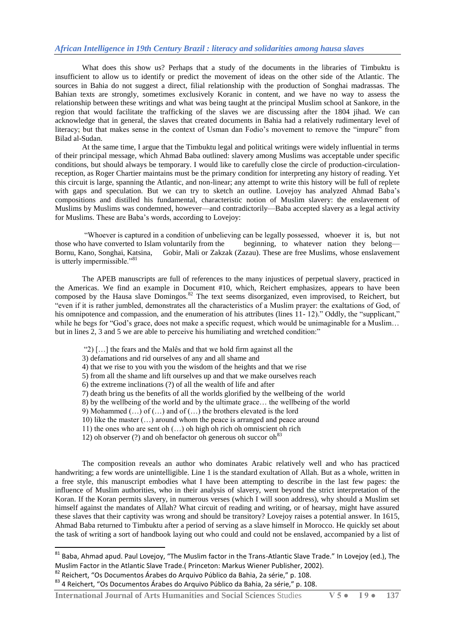What does this show us? Perhaps that a study of the documents in the libraries of Timbuktu is insufficient to allow us to identify or predict the movement of ideas on the other side of the Atlantic. The sources in Bahia do not suggest a direct, filial relationship with the production of Songhai madrassas. The Bahian texts are strongly, sometimes exclusively Koranic in content, and we have no way to assess the relationship between these writings and what was being taught at the principal Muslim school at Sankore, in the region that would facilitate the trafficking of the slaves we are discussing after the 1804 jihad. We can acknowledge that in general, the slaves that created documents in Bahia had a relatively rudimentary level of literacy; but that makes sense in the context of Usman dan Fodio's movement to remove the "impure" from Bilad al-Sudan.

At the same time, I argue that the Timbuktu legal and political writings were widely influential in terms of their principal message, which Ahmad Baba outlined: slavery among Muslims was acceptable under specific conditions, but should always be temporary. I would like to carefully close the circle of production-circulationreception, as Roger Chartier maintains must be the primary condition for interpreting any history of reading. Yet this circuit is large, spanning the Atlantic, and non-linear; any attempt to write this history will be full of replete with gaps and speculation. But we can try to sketch an outline. Lovejoy has analyzed Ahmad Baba's compositions and distilled his fundamental, characteristic notion of Muslim slavery: the enslavement of Muslims by Muslims was condemned, however—and contradictorily—Baba accepted slavery as a legal activity for Muslims. These are Baba's words, according to Lovejoy:

―Whoever is captured in a condition of unbelieving can be legally possessed, whoever it is, but not those who have converted to Islam voluntarily from the beginning, to whatever nation they belong— Bornu, Kano, Songhai, Katsina, Gobir, Mali or Zakzak (Zazau). These are free Muslims, whose enslavement is utterly impermissible."<sup>81</sup>

The APEB manuscripts are full of references to the many injustices of perpetual slavery, practiced in the Americas. We find an example in Document #10, which, Reichert emphasizes, appears to have been composed by the Hausa slave Domingos.<sup>82</sup> The text seems disorganized, even improvised, to Reichert, but composed by the Hausa slave Domingos.<sup>82</sup> The text seems disorganized, even improvised, to Reichert, but ―even if it is rather jumbled, demonstrates all the characteristics of a Muslim prayer: the exaltations of God, of his omnipotence and compassion, and the enumeration of his attributes (lines  $11-12$ )." Oddly, the "supplicant," while he begs for "God's grace, does not make a specific request, which would be unimaginable for a Muslim… but in lines 2, 3 and 5 we are able to perceive his humiliating and wretched condition:"

- " $2)$  [...] the fears and the Malês and that we hold firm against all the
- 3) defamations and rid ourselves of any and all shame and
- 4) that we rise to you with you the wisdom of the heights and that we rise
- 5) from all the shame and lift ourselves up and that we make ourselves reach
- 6) the extreme inclinations (?) of all the wealth of life and after
- 7) death bring us the benefits of all the worlds glorified by the wellbeing of the world
- 8) by the wellbeing of the world and by the ultimate grace… the wellbeing of the world
- 9) Mohammed (…) of (…) and of (…) the brothers elevated is the lord
- 10) like the master (…) around whom the peace is arranged and peace around
- 11) the ones who are sent oh (…) oh high oh rich oh omniscient oh rich
- 12) oh observer (?) and oh benefactor oh generous oh succor  $oh<sup>83</sup>$

The composition reveals an author who dominates Arabic relatively well and who has practiced handwriting; a few words are unintelligible. Line 1 is the standard exultation of Allah. But as a whole, written in a free style, this manuscript embodies what I have been attempting to describe in the last few pages: the influence of Muslim authorities, who in their analysis of slavery, went beyond the strict interpretation of the Koran. If the Koran permits slavery, in numerous verses (which I will soon address), why should a Muslim set himself against the mandates of Allah? What circuit of reading and writing, or of hearsay, might have assured these slaves that their captivity was wrong and should be transitory? Lovejoy raises a potential answer. In 1615, Ahmad Baba returned to Timbuktu after a period of serving as a slave himself in Morocco. He quickly set about the task of writing a sort of handbook laying out who could and could not be enslaved, accompanied by a list of

<sup>82</sup> Reichert, "Os Documentos Árabes do Arquivo Público da Bahia, 2a série," p. 108.

<sup>&</sup>lt;sup>81</sup> Baba, Ahmad apud. Paul Lovejoy, "The Muslim factor in the Trans-Atlantic Slave Trade." In Lovejoy (ed.), The Muslim Factor in the Atlantic Slave Trade.( Princeton: Markus Wiener Publisher, 2002).

<sup>83 4</sup> Reichert, "Os Documentos Árabes do Arquivo Público da Bahia, 2a série," p. 108.

**International Journal of Arts Humanities and Social Sciences** Studies **V 5 ● I 9 ● 137**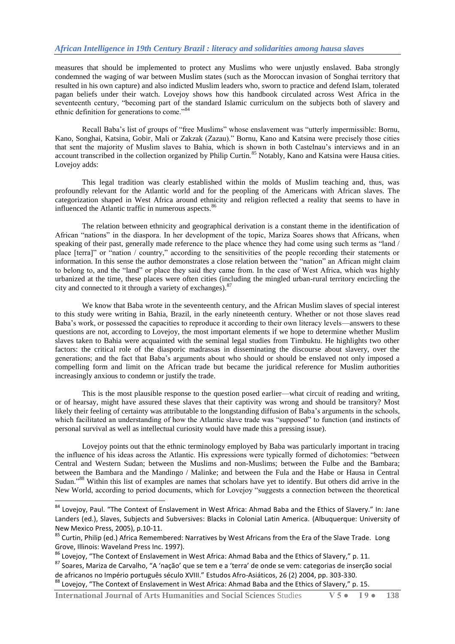measures that should be implemented to protect any Muslims who were unjustly enslaved. Baba strongly condemned the waging of war between Muslim states (such as the Moroccan invasion of Songhai territory that resulted in his own capture) and also indicted Muslim leaders who, sworn to practice and defend Islam, tolerated pagan beliefs under their watch. Lovejoy shows how this handbook circulated across West Africa in the seventeenth century, "becoming part of the standard Islamic curriculum on the subjects both of slavery and ethnic definition for generations to come." $84$ 

Recall Baba's list of groups of "free Muslims" whose enslavement was "utterly impermissible: Bornu, Kano, Songhai, Katsina, Gobir, Mali or Zakzak (Zazau)." Bornu, Kano and Katsina were precisely those cities that sent the majority of Muslim slaves to Bahia, which is shown in both Castelnau's interviews and in an account transcribed in the collection organized by Philip Curtin.<sup>85</sup> Notably, Kano and Katsina were Hausa cities. Lovejov adds:

This legal tradition was clearly established within the molds of Muslim teaching and, thus, was profoundly relevant for the Atlantic world and for the peopling of the Americans with African slaves. The categorization shaped in West Africa around ethnicity and religion reflected a reality that seems to have in influenced the Atlantic traffic in numerous aspects.<sup>86</sup>

The relation between ethnicity and geographical derivation is a constant theme in the identification of African "nations" in the diaspora. In her development of the topic, Mariza Soares shows that Africans, when speaking of their past, generally made reference to the place whence they had come using such terms as "land / place [terra]" or "nation / country," according to the sensitivities of the people recording their statements or information. In this sense the author demonstrates a close relation between the "nation" an African might claim to belong to, and the "land" or place they said they came from. In the case of West Africa, which was highly urbanized at the time, these places were often cities (including the mingled urban-rural territory encircling the city and connected to it through a variety of exchanges).<sup>87</sup>

We know that Baba wrote in the seventeenth century, and the African Muslim slaves of special interest to this study were writing in Bahia, Brazil, in the early nineteenth century. Whether or not those slaves read Baba's work, or possessed the capacities to reproduce it according to their own literacy levels—answers to these questions are not, according to Lovejoy, the most important elements if we hope to determine whether Muslim slaves taken to Bahia were acquainted with the seminal legal studies from Timbuktu. He highlights two other factors: the critical role of the diasporic madrassas in disseminating the discourse about slavery, over the generations; and the fact that Baba's arguments about who should or should be enslaved not only imposed a compelling form and limit on the African trade but became the juridical reference for Muslim authorities increasingly anxious to condemn or justify the trade.

This is the most plausible response to the question posed earlier—what circuit of reading and writing, or of hearsay, might have assured these slaves that their captivity was wrong and should be transitory? Most likely their feeling of certainty was attributable to the longstanding diffusion of Baba's arguments in the schools, which facilitated an understanding of how the Atlantic slave trade was "supposed" to function (and instincts of personal survival as well as intellectual curiosity would have made this a pressing issue).

Lovejoy points out that the ethnic terminology employed by Baba was particularly important in tracing the influence of his ideas across the Atlantic. His expressions were typically formed of dichotomies: "between Central and Western Sudan; between the Muslims and non-Muslims; between the Fulbe and the Bambara; between the Bambara and the Mandingo / Malinke; and between the Fula and the Habe or Hausa in Central Sudan.<sup>888</sup> Within this list of examples are names that scholars have yet to identify. But others did arrive in the New World, according to period documents, which for Lovejoy "suggests a connection between the theoretical

1

<sup>84</sup> Lovejoy, Paul. "The Context of Enslavement in West Africa: Ahmad Baba and the Ethics of Slavery." In: Jane Landers (ed.), Slaves, Subjects and Subversives: Blacks in Colonial Latin America. (Albuquerque: University of New Mexico Press, 2005), p.10-11.

<sup>85</sup> Curtin, Philip (ed.) Africa Remembered: Narratives by West Africans from the Era of the Slave Trade. Long Grove, Illinois: Waveland Press Inc. 1997).

 $86$  Lovejoy, "The Context of Enslavement in West Africa: Ahmad Baba and the Ethics of Slavery," p. 11.

<sup>87</sup> Soares, Mariza de Carvalho, "A 'nação' que se tem e a 'terra' de onde se vem: categorias de inserção social de africanos no Império português século XVIII." Estudos Afro-Asiáticos, 26 (2) 2004, pp. 303-330.

<sup>88</sup> Lovejoy, "The Context of Enslavement in West Africa: Ahmad Baba and the Ethics of Slavery," p. 15.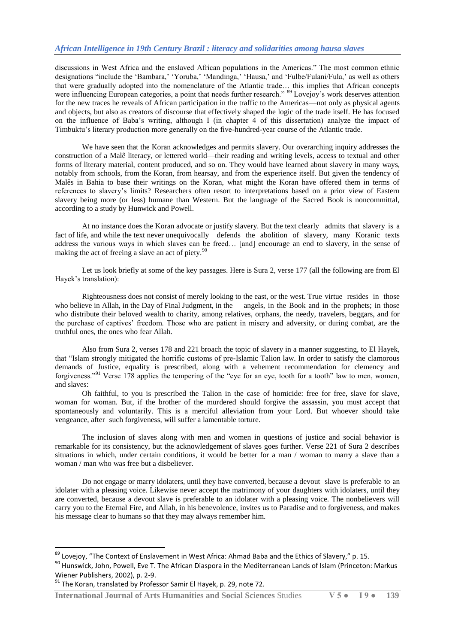discussions in West Africa and the enslaved African populations in the Americas." The most common ethnic designations "include the 'Bambara,' 'Yoruba,' 'Mandinga,' 'Hausa,' and 'Fulbe/Fulani/Fula,' as well as others that were gradually adopted into the nomenclature of the Atlantic trade… this implies that African concepts were influencing European categories, a point that needs further research." <sup>89</sup> Lovejoy's work deserves attention for the new traces he reveals of African participation in the traffic to the Americas—not only as physical agents and objects, but also as creators of discourse that effectively shaped the logic of the trade itself. He has focused on the influence of Baba's writing, although I (in chapter 4 of this dissertation) analyze the impact of Timbuktu's literary production more generally on the five-hundred-year course of the Atlantic trade.

We have seen that the Koran acknowledges and permits slavery. Our overarching inquiry addresses the construction of a Malê literacy, or lettered world—their reading and writing levels, access to textual and other forms of literary material, content produced, and so on. They would have learned about slavery in many ways, notably from schools, from the Koran, from hearsay, and from the experience itself. But given the tendency of Malês in Bahia to base their writings on the Koran, what might the Koran have offered them in terms of references to slavery's limits? Researchers often resort to interpretations based on a prior view of Eastern slavery being more (or less) humane than Western. But the language of the Sacred Book is noncommittal, according to a study by Hunwick and Powell.

At no instance does the Koran advocate or justify slavery. But the text clearly admits that slavery is a fact of life, and while the text never unequivocally defends the abolition of slavery, many Koranic texts address the various ways in which slaves can be freed… [and] encourage an end to slavery, in the sense of making the act of freeing a slave an act of piety.<sup>90</sup>

Let us look briefly at some of the key passages. Here is Sura 2, verse 177 (all the following are from El Hayek's translation):

Righteousness does not consist of merely looking to the east, or the west. True virtue resides in those who believe in Allah, in the Day of Final Judgment, in the angels, in the Book and in the prophets; in those who distribute their beloved wealth to charity, among relatives, orphans, the needy, travelers, beggars, and for the purchase of captives' freedom. Those who are patient in misery and adversity, or during combat, are the truthful ones, the ones who fear Allah.

Also from Sura 2, verses 178 and 221 broach the topic of slavery in a manner suggesting, to El Hayek, that "Islam strongly mitigated the horrific customs of pre-Islamic Talion law. In order to satisfy the clamorous demands of Justice, equality is prescribed, along with a vehement recommendation for clemency and forgiveness."<sup>91</sup> Verse 178 applies the tempering of the "eye for an eye, tooth for a tooth" law to men, women, and slaves:

Oh faithful, to you is prescribed the Talion in the case of homicide: free for free, slave for slave, woman for woman. But, if the brother of the murdered should forgive the assassin, you must accept that spontaneously and voluntarily. This is a merciful alleviation from your Lord. But whoever should take vengeance, after such forgiveness, will suffer a lamentable torture.

The inclusion of slaves along with men and women in questions of justice and social behavior is remarkable for its consistency, but the acknowledgement of slaves goes further. Verse 221 of Sura 2 describes situations in which, under certain conditions, it would be better for a man / woman to marry a slave than a woman / man who was free but a disbeliever.

Do not engage or marry idolaters, until they have converted, because a devout slave is preferable to an idolater with a pleasing voice. Likewise never accept the matrimony of your daughters with idolaters, until they are converted, because a devout slave is preferable to an idolater with a pleasing voice. The nonbelievers will carry you to the Eternal Fire, and Allah, in his benevolence, invites us to Paradise and to forgiveness, and makes his message clear to humans so that they may always remember him.

**.** 

 $^{89}$  Lovejoy, "The Context of Enslavement in West Africa: Ahmad Baba and the Ethics of Slavery," p. 15.

<sup>90</sup> Hunswick, John, Powell, Eve T. The African Diaspora in the Mediterranean Lands of Islam (Princeton: Markus Wiener Publishers, 2002), p. 2-9.

 $91$  The Koran, translated by Professor Samir El Hayek, p. 29, note 72.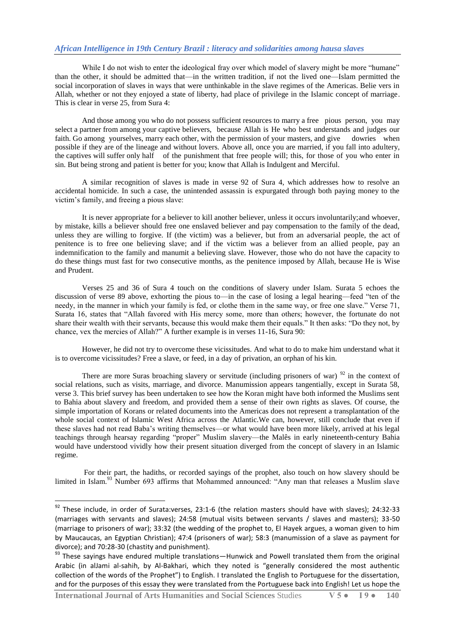While I do not wish to enter the ideological fray over which model of slavery might be more "humane" than the other, it should be admitted that—in the written tradition, if not the lived one—Islam permitted the social incorporation of slaves in ways that were unthinkable in the slave regimes of the Americas. Belie vers in Allah, whether or not they enjoyed a state of liberty, had place of privilege in the Islamic concept of marriage. This is clear in verse 25, from Sura 4:

And those among you who do not possess sufficient resources to marry a free pious person, you may select a partner from among your captive believers, because Allah is He who best understands and judges our faith. Go among yourselves, marry each other, with the permission of your masters, and give dowries when possible if they are of the lineage and without lovers. Above all, once you are married, if you fall into adultery, the captives will suffer only half of the punishment that free people will; this, for those of you who enter in sin. But being strong and patient is better for you; know that Allah is Indulgent and Merciful.

A similar recognition of slaves is made in verse 92 of Sura 4, which addresses how to resolve an accidental homicide. In such a case, the unintended assassin is expurgated through both paying money to the victim's family, and freeing a pious slave:

It is never appropriate for a believer to kill another believer, unless it occurs involuntarily;and whoever, by mistake, kills a believer should free one enslaved believer and pay compensation to the family of the dead, unless they are willing to forgive. If (the victim) was a believer, but from an adversarial people, the act of penitence is to free one believing slave; and if the victim was a believer from an allied people, pay an indemnification to the family and manumit a believing slave. However, those who do not have the capacity to do these things must fast for two consecutive months, as the penitence imposed by Allah, because He is Wise and Prudent.

Verses 25 and 36 of Sura 4 touch on the conditions of slavery under Islam. Surata 5 echoes the discussion of verse 89 above, exhorting the pious to—in the case of losing a legal hearing—feed "ten of the needy, in the manner in which your family is fed, or clothe them in the same way, or free one slave." Verse 71, Surata 16, states that "Allah favored with His mercy some, more than others; however, the fortunate do not share their wealth with their servants, because this would make them their equals." It then asks: "Do they not, by chance, vex the mercies of Allah?" A further example is in verses 11-16, Sura 90:

However, he did not try to overcome these vicissitudes. And what to do to make him understand what it is to overcome vicissitudes? Free a slave, or feed, in a day of privation, an orphan of his kin.

There are more Suras broaching slavery or servitude (including prisoners of war)  $\frac{92}{2}$  in the context of social relations, such as visits, marriage, and divorce. Manumission appears tangentially, except in Surata 58, verse 3. This brief survey has been undertaken to see how the Koran might have both informed the Muslims sent to Bahia about slavery and freedom, and provided them a sense of their own rights as slaves. Of course, the simple importation of Korans or related documents into the Americas does not represent a transplantation of the whole social context of Islamic West Africa across the Atlantic.We can, however, still conclude that even if these slaves had not read Baba's writing themselves—or what would have been more likely, arrived at his legal teachings through hearsay regarding "proper" Muslim slavery—the Malês in early nineteenth-century Bahia would have understood vividly how their present situation diverged from the concept of slavery in an Islamic regime.

For their part, the hadiths, or recorded sayings of the prophet, also touch on how slavery should be limited in Islam.<sup>93</sup> Number 693 affirms that Mohammed announced: "Any man that releases a Muslim slave

1

 $92$  These include, in order of Surata:verses, 23:1-6 (the relation masters should have with slaves); 24:32-33 (marriages with servants and slaves); 24:58 (mutual visits between servants / slaves and masters); 33-50 (marriage to prisoners of war); 33:32 (the wedding of the prophet to, El Hayek argues, a woman given to him by Maucaucas, an Egyptian Christian); 47:4 (prisoners of war); 58:3 (manumission of a slave as payment for divorce); and 70:28-30 (chastity and punishment).

<sup>93</sup> These sayings have endured multiple translations—Hunwick and Powell translated them from the original Arabic (in alJami al-sahih, by Al-Bakhari, which they noted is "generally considered the most authentic collection of the words of the Prophet") to English. I translated the English to Portuguese for the dissertation, and for the purposes of this essay they were translated from the Portuguese back into English! Let us hope the